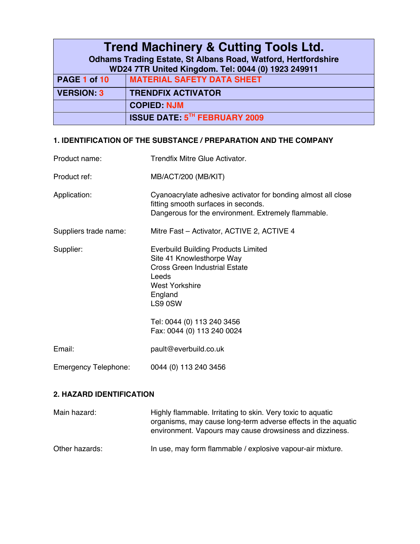| <b>Trend Machinery &amp; Cutting Tools Ltd.</b>                      |                                      |  |
|----------------------------------------------------------------------|--------------------------------------|--|
| <b>Odhams Trading Estate, St Albans Road, Watford, Hertfordshire</b> |                                      |  |
| WD24 7TR United Kingdom. Tel: 0044 (0) 1923 249911                   |                                      |  |
| PAGE 1 of 10                                                         | <b>MATERIAL SAFETY DATA SHEET</b>    |  |
| <b>VERSION: 3</b>                                                    | <b>TRENDFIX ACTIVATOR</b>            |  |
|                                                                      | <b>COPIED: NJM</b>                   |  |
|                                                                      | <b>ISSUE DATE: 5TH FEBRUARY 2009</b> |  |

#### **1. IDENTIFICATION OF THE SUBSTANCE / PREPARATION AND THE COMPANY**

| Product name:               | Trendfix Mitre Glue Activator.                                                                                                                                                                                               |
|-----------------------------|------------------------------------------------------------------------------------------------------------------------------------------------------------------------------------------------------------------------------|
| Product ref:                | MB/ACT/200 (MB/KIT)                                                                                                                                                                                                          |
| Application:                | Cyanoacrylate adhesive activator for bonding almost all close<br>fitting smooth surfaces in seconds.<br>Dangerous for the environment. Extremely flammable.                                                                  |
| Suppliers trade name:       | Mitre Fast - Activator, ACTIVE 2, ACTIVE 4                                                                                                                                                                                   |
| Supplier:                   | <b>Everbuild Building Products Limited</b><br>Site 41 Knowlesthorpe Way<br><b>Cross Green Industrial Estate</b><br>Leeds<br>West Yorkshire<br>England<br>LS9 0SW<br>Tel: 0044 (0) 113 240 3456<br>Fax: 0044 (0) 113 240 0024 |
| Email:                      | pault@everbuild.co.uk                                                                                                                                                                                                        |
| <b>Emergency Telephone:</b> | 0044 (0) 113 240 3456                                                                                                                                                                                                        |

#### **2. HAZARD IDENTIFICATION**

| Main hazard:   | Highly flammable. Irritating to skin. Very toxic to aquatic<br>organisms, may cause long-term adverse effects in the aquatic<br>environment. Vapours may cause drowsiness and dizziness. |
|----------------|------------------------------------------------------------------------------------------------------------------------------------------------------------------------------------------|
| Other hazards: | In use, may form flammable / explosive vapour-air mixture.                                                                                                                               |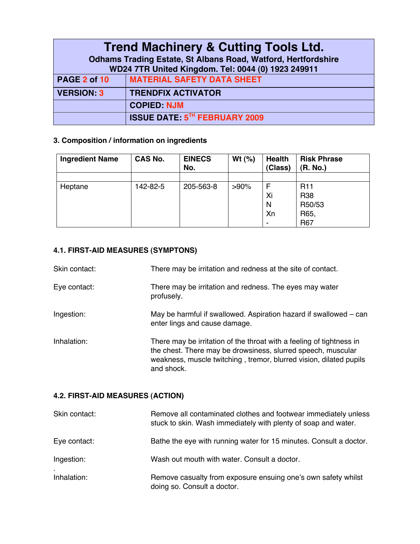| <b>Trend Machinery &amp; Cutting Tools Ltd.</b>                      |                                      |  |
|----------------------------------------------------------------------|--------------------------------------|--|
| <b>Odhams Trading Estate, St Albans Road, Watford, Hertfordshire</b> |                                      |  |
| WD24 7TR United Kingdom. Tel: 0044 (0) 1923 249911                   |                                      |  |
| PAGE 2 of 10                                                         | <b>MATERIAL SAFETY DATA SHEET</b>    |  |
| <b>VERSION: 3</b>                                                    | <b>TRENDFIX ACTIVATOR</b>            |  |
|                                                                      | <b>COPIED: NJM</b>                   |  |
|                                                                      | <b>ISSUE DATE: 5TH FEBRUARY 2009</b> |  |

## **3. Composition / information on ingredients**

| <b>Ingredient Name</b> | <b>CAS No.</b> | <b>EINECS</b><br>No. | Wt $(%)$ | <b>Health</b><br>(Class) | <b>Risk Phrase</b><br>(R. No.) |
|------------------------|----------------|----------------------|----------|--------------------------|--------------------------------|
|                        |                |                      |          |                          |                                |
| Heptane                | 142-82-5       | 205-563-8            | $>90\%$  | F                        | R <sub>11</sub>                |
|                        |                |                      |          | Xi                       | <b>R38</b>                     |
|                        |                |                      |          | N                        | R50/53                         |
|                        |                |                      |          | Xn                       | R65,                           |
|                        |                |                      |          | $\,$                     | R67                            |

# **4.1. FIRST-AID MEASURES (SYMPTONS)**

| Skin contact: | There may be irritation and redness at the site of contact.                                                                                                                                                              |  |
|---------------|--------------------------------------------------------------------------------------------------------------------------------------------------------------------------------------------------------------------------|--|
| Eye contact:  | There may be irritation and redness. The eyes may water<br>profusely.                                                                                                                                                    |  |
| Ingestion:    | May be harmful if swallowed. Aspiration hazard if swallowed – can<br>enter lings and cause damage.                                                                                                                       |  |
| Inhalation:   | There may be irritation of the throat with a feeling of tightness in<br>the chest. There may be drowsiness, slurred speech, muscular<br>weakness, muscle twitching, tremor, blurred vision, dilated pupils<br>and shock. |  |

# **4.2. FIRST-AID MEASURES (ACTION)**

| Skin contact: | Remove all contaminated clothes and footwear immediately unless<br>stuck to skin. Wash immediately with plenty of soap and water. |
|---------------|-----------------------------------------------------------------------------------------------------------------------------------|
| Eye contact:  | Bathe the eye with running water for 15 minutes. Consult a doctor.                                                                |
| Ingestion:    | Wash out mouth with water. Consult a doctor.                                                                                      |
| Inhalation:   | Remove casualty from exposure ensuing one's own safety whilst<br>doing so. Consult a doctor.                                      |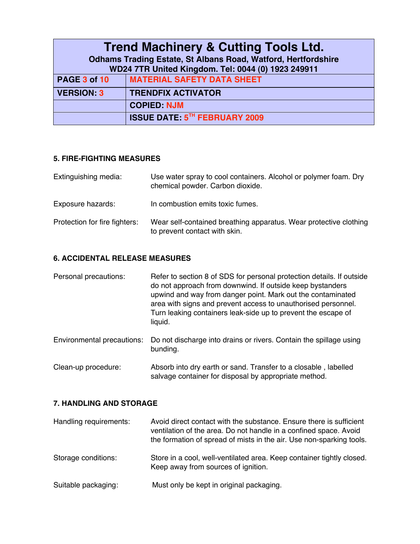| <b>Trend Machinery &amp; Cutting Tools Ltd.</b>                      |                                      |  |
|----------------------------------------------------------------------|--------------------------------------|--|
| <b>Odhams Trading Estate, St Albans Road, Watford, Hertfordshire</b> |                                      |  |
| WD24 7TR United Kingdom. Tel: 0044 (0) 1923 249911                   |                                      |  |
| PAGE 3 of 10                                                         | <b>MATERIAL SAFETY DATA SHEET</b>    |  |
| <b>VERSION: 3</b>                                                    | <b>TRENDFIX ACTIVATOR</b>            |  |
|                                                                      | <b>COPIED: NJM</b>                   |  |
|                                                                      | <b>ISSUE DATE: 5TH FEBRUARY 2009</b> |  |

#### **5. FIRE-FIGHTING MEASURES**

| Extinguishing media:          | Use water spray to cool containers. Alcohol or polymer foam. Dry<br>chemical powder. Carbon dioxide. |
|-------------------------------|------------------------------------------------------------------------------------------------------|
| Exposure hazards:             | In combustion emits toxic fumes.                                                                     |
| Protection for fire fighters: | Wear self-contained breathing apparatus. Wear protective clothing<br>to prevent contact with skin.   |

#### **6. ACCIDENTAL RELEASE MEASURES**

| Refer to section 8 of SDS for personal protection details. If outside<br>Personal precautions:<br>do not approach from downwind. If outside keep bystanders<br>upwind and way from danger point. Mark out the contaminated<br>area with signs and prevent access to unauthorised personnel.<br>Turn leaking containers leak-side up to prevent the escape of<br>liquid. |
|-------------------------------------------------------------------------------------------------------------------------------------------------------------------------------------------------------------------------------------------------------------------------------------------------------------------------------------------------------------------------|
|-------------------------------------------------------------------------------------------------------------------------------------------------------------------------------------------------------------------------------------------------------------------------------------------------------------------------------------------------------------------------|

Environmental precautions: Do not discharge into drains or rivers. Contain the spillage using bunding.

Clean-up procedure: Absorb into dry earth or sand. Transfer to a closable , labelled salvage container for disposal by appropriate method.

#### **7. HANDLING AND STORAGE**

| Handling requirements: | Avoid direct contact with the substance. Ensure there is sufficient<br>ventilation of the area. Do not handle in a confined space. Avoid<br>the formation of spread of mists in the air. Use non-sparking tools. |
|------------------------|------------------------------------------------------------------------------------------------------------------------------------------------------------------------------------------------------------------|
| Storage conditions:    | Store in a cool, well-ventilated area. Keep container tightly closed.<br>Keep away from sources of ignition.                                                                                                     |
| Suitable packaging:    | Must only be kept in original packaging.                                                                                                                                                                         |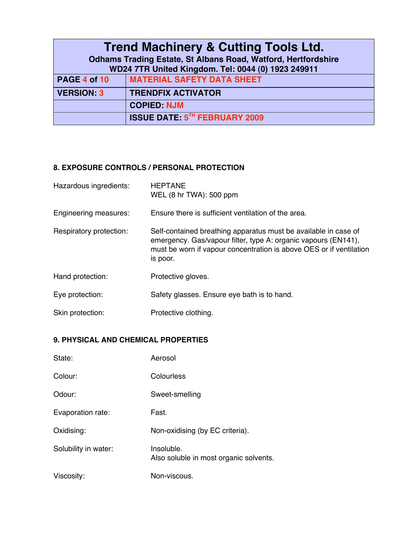| <b>Trend Machinery &amp; Cutting Tools Ltd.</b>                      |                                      |  |
|----------------------------------------------------------------------|--------------------------------------|--|
| <b>Odhams Trading Estate, St Albans Road, Watford, Hertfordshire</b> |                                      |  |
| WD24 7TR United Kingdom. Tel: 0044 (0) 1923 249911                   |                                      |  |
| PAGE 4 of 10                                                         | <b>MATERIAL SAFETY DATA SHEET</b>    |  |
| <b>VERSION: 3</b>                                                    | <b>TRENDFIX ACTIVATOR</b>            |  |
|                                                                      | <b>COPIED: NJM</b>                   |  |
|                                                                      | <b>ISSUE DATE: 5TH FEBRUARY 2009</b> |  |

## **8. EXPOSURE CONTROLS / PERSONAL PROTECTION**

| Hazardous ingredients:  | <b>HEPTANE</b><br>WEL (8 hr TWA): 500 ppm                                                                                                                                                                            |
|-------------------------|----------------------------------------------------------------------------------------------------------------------------------------------------------------------------------------------------------------------|
| Engineering measures:   | Ensure there is sufficient ventilation of the area.                                                                                                                                                                  |
| Respiratory protection: | Self-contained breathing apparatus must be available in case of<br>emergency. Gas/vapour filter, type A: organic vapours (EN141),<br>must be worn if vapour concentration is above OES or if ventilation<br>is poor. |
| Hand protection:        | Protective gloves.                                                                                                                                                                                                   |
| Eye protection:         | Safety glasses. Ensure eye bath is to hand.                                                                                                                                                                          |
| Skin protection:        | Protective clothing.                                                                                                                                                                                                 |

#### **9. PHYSICAL AND CHEMICAL PROPERTIES**

| State:               | Aerosol                                              |
|----------------------|------------------------------------------------------|
| Colour:              | Colourless                                           |
| Odour:               | Sweet-smelling                                       |
| Evaporation rate:    | Fast.                                                |
| Oxidising:           | Non-oxidising (by EC criteria).                      |
| Solubility in water: | Insoluble.<br>Also soluble in most organic solvents. |
| Viscosity:           | Non-viscous.                                         |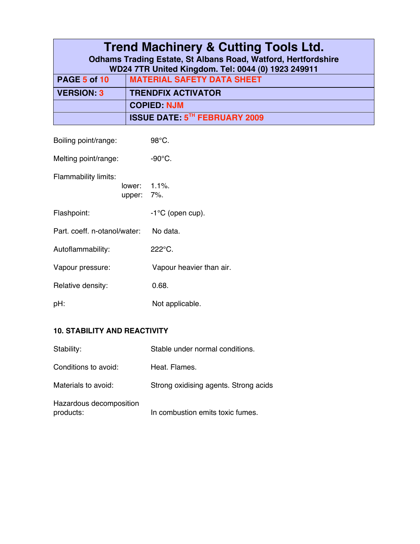| <b>Trend Machinery &amp; Cutting Tools Ltd.</b>                      |                                                    |
|----------------------------------------------------------------------|----------------------------------------------------|
| <b>Odhams Trading Estate, St Albans Road, Watford, Hertfordshire</b> |                                                    |
|                                                                      | WD24 7TR United Kingdom. Tel: 0044 (0) 1923 249911 |
| PAGE 5 of 10                                                         | <b>MATERIAL SAFETY DATA SHEET</b>                  |
| <b>VERSION: 3</b>                                                    | <b>TRENDFIX ACTIVATOR</b>                          |
|                                                                      | <b>COPIED: NJM</b>                                 |
|                                                                      | <b>ISSUE DATE: 5TH FEBRUARY 2009</b>               |

| Boiling point/range:         |                            | 98°C.                    |
|------------------------------|----------------------------|--------------------------|
| Melting point/range:         |                            | $-90^{\circ}$ C.         |
| Flammability limits:         | lower: 1.1%.<br>upper: 7%. |                          |
| Flashpoint:                  |                            | $-1$ °C (open cup).      |
| Part. coeff. n-otanol/water: |                            | No data.                 |
| Autoflammability:            |                            | $222^{\circ}$ C.         |
| Vapour pressure:             |                            | Vapour heavier than air. |
| Relative density:            |                            | 0.68.                    |
| pH:                          |                            | Not applicable.          |

# **10. STABILITY AND REACTIVITY**

| Stability:                           | Stable under normal conditions.       |
|--------------------------------------|---------------------------------------|
| Conditions to avoid:                 | Heat, Flames,                         |
| Materials to avoid:                  | Strong oxidising agents. Strong acids |
| Hazardous decomposition<br>products: | In combustion emits toxic fumes.      |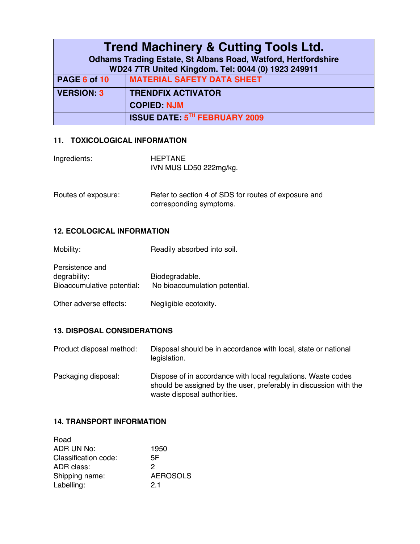| <b>Trend Machinery &amp; Cutting Tools Ltd.</b>                      |                                                    |
|----------------------------------------------------------------------|----------------------------------------------------|
| <b>Odhams Trading Estate, St Albans Road, Watford, Hertfordshire</b> |                                                    |
|                                                                      | WD24 7TR United Kingdom. Tel: 0044 (0) 1923 249911 |
| PAGE 6 of 10                                                         | <b>MATERIAL SAFETY DATA SHEET</b>                  |
| <b>VERSION: 3</b>                                                    | <b>TRENDFIX ACTIVATOR</b>                          |
|                                                                      | <b>COPIED: NJM</b>                                 |
|                                                                      | <b>ISSUE DATE: 5TH FEBRUARY 2009</b>               |

#### **11. TOXICOLOGICAL INFORMATION**

| Ingredients: | <b>HEPTANE</b>         |
|--------------|------------------------|
|              | IVN MUS LD50 222mg/kg. |

| Routes of exposure: | Refer to section 4 of SDS for routes of exposure and |
|---------------------|------------------------------------------------------|
|                     | corresponding symptoms.                              |

#### **12. ECOLOGICAL INFORMATION**

| Mobility:                                                     | Readily absorbed into soil.                     |
|---------------------------------------------------------------|-------------------------------------------------|
| Persistence and<br>degrability:<br>Bioaccumulative potential: | Biodegradable.<br>No bioaccumulation potential. |
| Other adverse effects:                                        | Negligible ecotoxity.                           |

#### **13. DISPOSAL CONSIDERATIONS**

| Product disposal method: | Disposal should be in accordance with local, state or national |
|--------------------------|----------------------------------------------------------------|
|                          | legislation.                                                   |
|                          |                                                                |

Packaging disposal: Dispose of in accordance with local regulations. Waste codes should be assigned by the user, preferably in discussion with the waste disposal authorities.

#### **14. TRANSPORT INFORMATION**

| Road                 |                 |
|----------------------|-----------------|
| ADR UN No:           | 1950            |
| Classification code: | 5F              |
| ADR class:           | 2               |
| Shipping name:       | <b>AEROSOLS</b> |
| Labelling:           | 21              |
|                      |                 |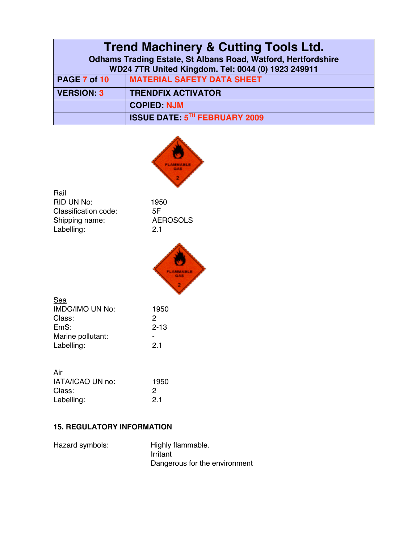| <b>Trend Machinery &amp; Cutting Tools Ltd.</b>                      |                                                    |
|----------------------------------------------------------------------|----------------------------------------------------|
| <b>Odhams Trading Estate, St Albans Road, Watford, Hertfordshire</b> |                                                    |
|                                                                      | WD24 7TR United Kingdom. Tel: 0044 (0) 1923 249911 |
| PAGE 7 of 10                                                         | <b>MATERIAL SAFETY DATA SHEET</b>                  |
| <b>VERSION: 3</b>                                                    | <b>TRENDFIX ACTIVATOR</b>                          |
|                                                                      | <b>COPIED: NJM</b>                                 |
|                                                                      | <b>ISSUE DATE: 5TH FEBRUARY 2009</b>               |



**Rail** RID UN No: 1950<br>Classification code: 5F Classification code: 5F<br>Shipping name: 4EROSOLS Shipping name: AEROSOLS Labelling: 2.1



| Sea                    |          |
|------------------------|----------|
| <b>IMDG/IMO UN No:</b> | 1950     |
| Class:                 | 2        |
| EmS:                   | $2 - 13$ |
| Marine pollutant:      |          |
| Labelling:             | 21       |
|                        |          |

| <u>Air</u>       |      |
|------------------|------|
| IATA/ICAO UN no: | 1950 |
| Class:           | 2    |
| Labelling:       | 21   |

# **15. REGULATORY INFORMATION**

| Hazard symbols: | Highly flammable.             |
|-----------------|-------------------------------|
|                 | Irritant                      |
|                 | Dangerous for the environment |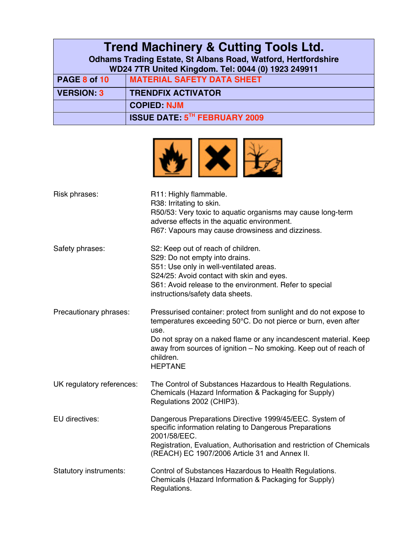|                                                                      | <b>Trend Machinery &amp; Cutting Tools Ltd.</b>    |
|----------------------------------------------------------------------|----------------------------------------------------|
| <b>Odhams Trading Estate, St Albans Road, Watford, Hertfordshire</b> |                                                    |
|                                                                      | WD24 7TR United Kingdom. Tel: 0044 (0) 1923 249911 |
| PAGE 8 of 10                                                         | <b>MATERIAL SAFETY DATA SHEET</b>                  |
| <b>VERSION: 3</b>                                                    | <b>TRENDFIX ACTIVATOR</b>                          |
|                                                                      | <b>COPIED: NJM</b>                                 |
|                                                                      | <b>ISSUE DATE: 5TH FEBRUARY 2009</b>               |



| Risk phrases:             | R11: Highly flammable.<br>R38: Irritating to skin.<br>R50/53: Very toxic to aquatic organisms may cause long-term<br>adverse effects in the aquatic environment.<br>R67: Vapours may cause drowsiness and dizziness.                                                                                               |
|---------------------------|--------------------------------------------------------------------------------------------------------------------------------------------------------------------------------------------------------------------------------------------------------------------------------------------------------------------|
| Safety phrases:           | S2: Keep out of reach of children.<br>S29: Do not empty into drains.<br>S51: Use only in well-ventilated areas.<br>S24/25: Avoid contact with skin and eyes.<br>S61: Avoid release to the environment. Refer to special<br>instructions/safety data sheets.                                                        |
| Precautionary phrases:    | Pressurised container: protect from sunlight and do not expose to<br>temperatures exceeding 50°C. Do not pierce or burn, even after<br>use.<br>Do not spray on a naked flame or any incandescent material. Keep<br>away from sources of ignition - No smoking. Keep out of reach of<br>children.<br><b>HEPTANE</b> |
| UK regulatory references: | The Control of Substances Hazardous to Health Regulations.<br>Chemicals (Hazard Information & Packaging for Supply)<br>Regulations 2002 (CHIP3).                                                                                                                                                                   |
| EU directives:            | Dangerous Preparations Directive 1999/45/EEC. System of<br>specific information relating to Dangerous Preparations<br>2001/58/EEC.<br>Registration, Evaluation, Authorisation and restriction of Chemicals<br>(REACH) EC 1907/2006 Article 31 and Annex II.                                                        |
| Statutory instruments:    | Control of Substances Hazardous to Health Regulations.<br>Chemicals (Hazard Information & Packaging for Supply)<br>Regulations.                                                                                                                                                                                    |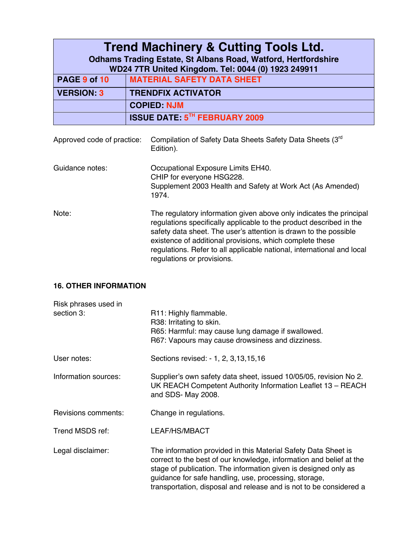|                   | <b>Trend Machinery &amp; Cutting Tools Ltd.</b>                      |
|-------------------|----------------------------------------------------------------------|
|                   | <b>Odhams Trading Estate, St Albans Road, Watford, Hertfordshire</b> |
|                   | WD24 7TR United Kingdom. Tel: 0044 (0) 1923 249911                   |
| PAGE 9 of 10      | <b>MATERIAL SAFETY DATA SHEET</b>                                    |
| <b>VERSION: 3</b> | <b>TRENDFIX ACTIVATOR</b>                                            |
|                   | <b>COPIED: NJM</b>                                                   |
|                   | <b>ISSUE DATE: 5TH FEBRUARY 2009</b>                                 |
|                   |                                                                      |

| Approved code of practice: | Compilation of Safety Data Sheets Safety Data Sheets (3 <sup>rd</sup> )<br>Edition).                                                                                                                                                                                                                                                                                               |
|----------------------------|------------------------------------------------------------------------------------------------------------------------------------------------------------------------------------------------------------------------------------------------------------------------------------------------------------------------------------------------------------------------------------|
| Guidance notes:            | Occupational Exposure Limits EH40.<br>CHIP for everyone HSG228.<br>Supplement 2003 Health and Safety at Work Act (As Amended)<br>1974.                                                                                                                                                                                                                                             |
| Note:                      | The regulatory information given above only indicates the principal<br>regulations specifically applicable to the product described in the<br>safety data sheet. The user's attention is drawn to the possible<br>existence of additional provisions, which complete these<br>regulations. Refer to all applicable national, international and local<br>regulations or provisions. |

## **16. OTHER INFORMATION**

| Risk phrases used in |                                                                                                                                                                                                                                                                                                                                         |
|----------------------|-----------------------------------------------------------------------------------------------------------------------------------------------------------------------------------------------------------------------------------------------------------------------------------------------------------------------------------------|
| section 3:           | R11: Highly flammable.<br>R38: Irritating to skin.<br>R65: Harmful: may cause lung damage if swallowed.<br>R67: Vapours may cause drowsiness and dizziness.                                                                                                                                                                             |
| User notes:          | Sections revised: - 1, 2, 3, 13, 15, 16                                                                                                                                                                                                                                                                                                 |
| Information sources: | Supplier's own safety data sheet, issued 10/05/05, revision No 2.<br>UK REACH Competent Authority Information Leaflet 13 - REACH<br>and SDS- May 2008.                                                                                                                                                                                  |
| Revisions comments:  | Change in regulations.                                                                                                                                                                                                                                                                                                                  |
| Trend MSDS ref:      | LEAF/HS/MBACT                                                                                                                                                                                                                                                                                                                           |
| Legal disclaimer:    | The information provided in this Material Safety Data Sheet is<br>correct to the best of our knowledge, information and belief at the<br>stage of publication. The information given is designed only as<br>guidance for safe handling, use, processing, storage,<br>transportation, disposal and release and is not to be considered a |